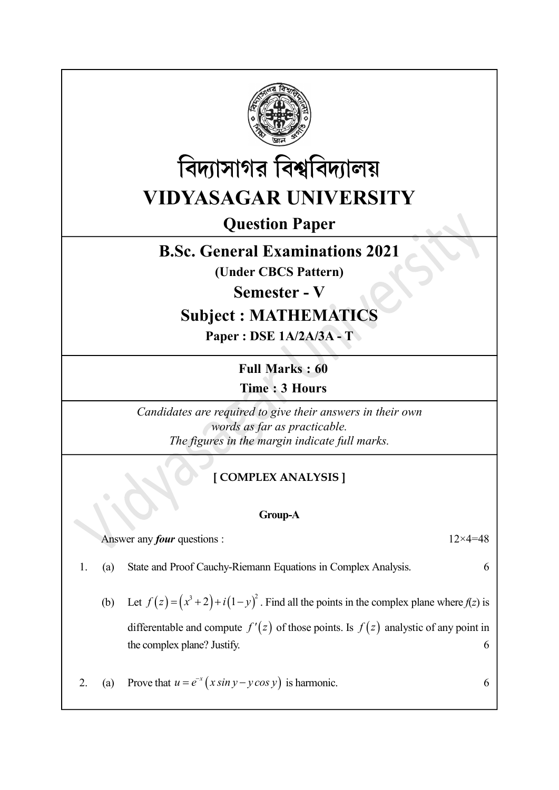



Question Paper

# B.Sc. General Examinations 2021

(Under CBCS Pattern)

Semester - V

# Subject : MATHEMATICS

Paper : DSE 1A/2A/3A - T

Full Marks : 60 Time : 3 Hours

Candidates are required to give their answers in their own words as far as practicable. The figures in the margin indicate full marks.

# [ COMPLEX ANALYSIS ]

## Group-A

Answer any *four* questions :  $12 \times 4 = 48$ 

- 1. (a) State and Proof Cauchy-Riemann Equations in Complex Analysis. 6
	- (b) Let  $f(z) = (x^3 + 2) + i(1 y)^2$ . Find all the points in the complex plane where  $f(z)$  is differentable and compute  $f'(z)$  of those points. Is  $f(z)$  analystic of any point in the complex plane? Justify. 6
- 2. (a) Prove that  $u = e^{-x} (x \sin y y \cos y)$  is harmonic. 6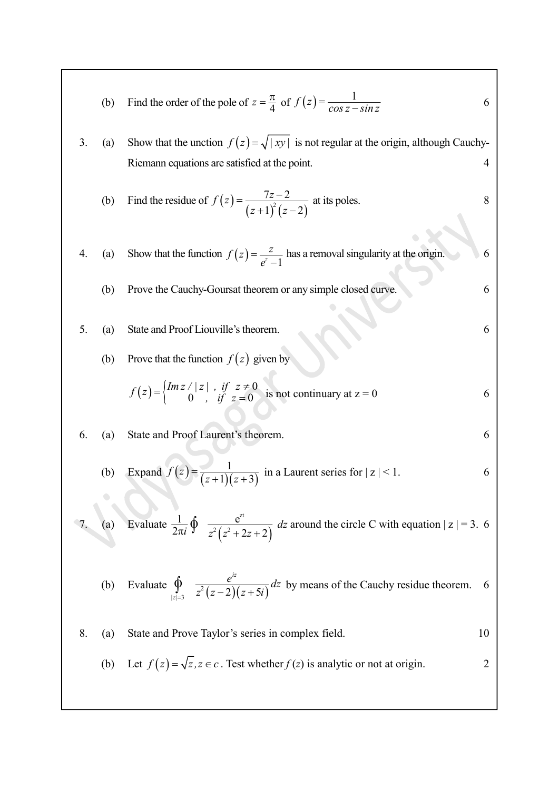|    | (b) | Find the order of the pole of $z = \frac{\pi}{4}$ of $f(z) = \frac{1}{\cos z - \sin z}$                                       | 6  |
|----|-----|-------------------------------------------------------------------------------------------------------------------------------|----|
| 3. | (a) | Show that the unction $f(z) = \sqrt{ xy }$ is not regular at the origin, although Cauchy-                                     |    |
|    |     | Riemann equations are satisfied at the point.                                                                                 | 4  |
|    | (b) | Find the residue of $f(z) = \frac{7z-2}{(z+1)^2(z-2)}$ at its poles.                                                          | 8  |
|    | (a) | Show that the function $f(z) = \frac{z}{e^z - 1}$ has a removal singularity at the origin.                                    | 6  |
|    | (b) | Prove the Cauchy-Goursat theorem or any simple closed curve.                                                                  | 6  |
| 5. | (a) | State and Proof Liouville's theorem.                                                                                          | 6  |
|    | (b) | Prove that the function $f(z)$ given by                                                                                       |    |
|    |     | $f(z) = \begin{cases} Im z /  z  , & if \ z \neq 0 \\ 0 , & if \ z = 0 \end{cases}$ is not continuary at $z = 0$              | 6  |
| 6. | (a) | State and Proof Laurent's theorem.                                                                                            | 6  |
|    | (b) | Expand $f(z) = \frac{1}{(z+1)(z+3)}$ in a Laurent series for $ z  < 1$ .                                                      | 6  |
|    |     | 7. (a) Evaluate $\frac{1}{2\pi i} \oint \frac{e^{zt}}{z^2 (z^2 + 2z + 2)} dz$ around the circle C with equation $ z  = 3$ . 6 |    |
|    |     | (b) Evaluate $\oint_{ z =3} \frac{e^{iz}}{z^2(z-2)(z+5i)} dz$ by means of the Cauchy residue theorem.                         |    |
| 8. | (a) | State and Prove Taylor's series in complex field.                                                                             | 10 |
|    |     | (b) Let $f(z) = \sqrt{z}$ , $z \in c$ . Test whether $f(z)$ is analytic or not at origin.                                     | 2  |
|    |     |                                                                                                                               |    |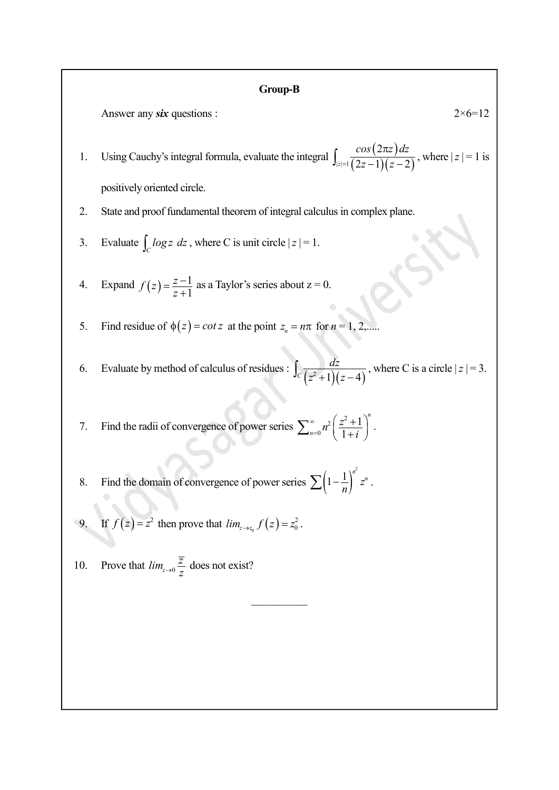#### Group-B

Answer any six questions :  $2 \times 6 = 12$ 

1. Using Cauchy's integral formula, evaluate the integral  $\left(\frac{\cos(2\pi z)dz}{(2-1)(2-2)},\text{where }|z|=1\text{ is }\right)$ 2×6=12<br>  $2 \times 6=12$ <br>  $\left[\csc(2z-1)(z-2)\right]$ , where  $|z|=1$  is<br>  $\sin \text{complex plane.}$  $=\sqrt{2z-1(z)}$  $\pi$  $\int_{|z|=1} \frac{\cos(2\pi z) dz}{(2z-1)(z-2)}$  $\frac{\cos{(2\pi z)}\pi}{(z-1)(z-2)}$ , where  $|z|=1$  is positively oriented circle. **Group-B**<br>
Answer any *six* questions :<br>
2. Using Cauchy's integral formula, evaluate the integral  $\int_{|z|=1} \frac{\cos(2\pi z) dz}{(2z-1)(z-2)}$ , where  $|z|$  positively oriented eirele.<br>
2. State and proof fundamental theorem of integ 1. Using Cauchy's integral formula, evaluate the integral  $\int_{|z|=1} \frac{\cos(2\pi z) dz}{(2z-1)(z-2)}$ , where  $|z|=1$  is<br>positively oriented circle.<br>2. State and proof fundamental theorem of integral calculus in complex plane.<br>3. Eval

- 2. State and proof fundamental theorem of integral calculus in complex plane.
- 3. Evaluate  $\int_C \log z \, dz$ , where C is unit circle  $|z| = 1$ .
- $f(z) = \frac{z}{z}$  $=\frac{z-}{z+}$ 1 1 as a Taylor's series about  $z = 0$ .
- 5. Find residue of  $\phi(z) = \cot z$  at the point  $z_n = n\pi$  for  $n = 1, 2, ...$
- $\int_C \frac{dz}{(z^2+1)(z-4)}$ , where C is a circle  $|z|=3$ .

7. Find the radii of convergence of power series  $\sum_{n=0}^{\infty} n^2 \left( \frac{z^2 + 1}{n} \right)^n$ n  $n^2\left(\frac{z^2+1}{1+i}\right)$  $^{\circ}$  $=$  $\sum_{n=0}^{\infty} n^2 \left( \frac{z^2+1}{1+i} \right)^n$ . 0 1 1 .

- 8. Find the domain of convergence of power series  $\sum \left(1-\frac{1}{n}\right)^{n^2} z^n$ .
- 9. If  $f(z) = z^2$  then prove that  $\lim_{z \to z_0} f(z) = z_0^2$ . 2  $\frac{2}{0}$  .
- 10. Prove that  $\lim_{z \to 0}$  $\lim_{z\to 0} \frac{\overline{z}}{z}$  does not exist?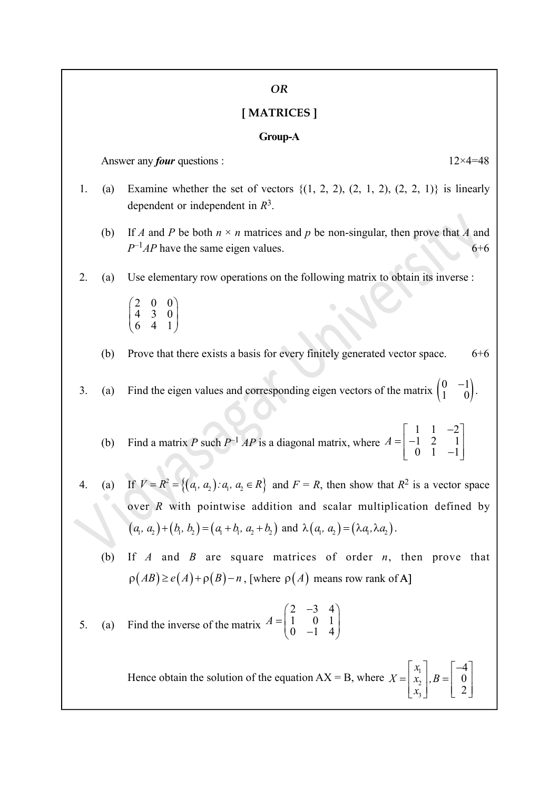#### OR

#### [ MATRICES ]

#### Group-A

Answer any *four* questions :  $12 \times 4 = 48$ 

- 1. (a) Examine whether the set of vectors  $\{(1, 2, 2), (2, 1, 2), (2, 2, 1)\}\)$  is linearly dependent or independent in  $R^3$ .
	- (b) If A and P be both  $n \times n$  matrices and p be non-singular, then prove that A and  $P^{-1}AP$  have the same eigen values. 6+6
- 2. (a) Use elementary row operations on the following matrix to obtain its inverse :
	- $\begin{pmatrix} 2 & 0 & 0 \\ 4 & 3 & 0 \\ 6 & 4 & 1 \end{pmatrix}$  $\begin{bmatrix} 4 & 3 & 0 \end{bmatrix}$  $\begin{pmatrix} 6 & 4 & 1 \end{pmatrix}$
	- (b) Prove that there exists a basis for every finitely generated vector space.  $6+6$
- 3. (a) Find the eigen values and corresponding eigen vectors of the matrix  $\begin{pmatrix} 0 & -1 \\ 1 & 0 \end{pmatrix}$ .  $\begin{pmatrix} 0 & -1 \\ 1 & 0 \end{pmatrix}$ .
	- (b) Find a matrix P such  $P^{-1}AP$  is a diagonal matrix, where A  $\begin{bmatrix} 1 & 1 & -2 \end{bmatrix}$  $=\begin{vmatrix} 1 & 1 & 2 \\ 1 & 2 & 1 \end{vmatrix}$  $\begin{bmatrix} 1 & 2 & -1 \ 0 & 1 & -1 \end{bmatrix}$  $1 \t1 \t-2$  $\begin{bmatrix} 1 & 2 & 1 \end{bmatrix}$  $\begin{bmatrix} 0 & 1 & -1 \end{bmatrix}$
- 4. (a) If  $V = R^2 = \{(a_1, a_2) : a_1, a_2 \in R\}$  and  $F = R$ , then show that  $R^2$  is a vector space over R with pointwise addition and scalar multiplication defined by  $(a_1, a_2) + (b_1, b_2) = (a_1 + b_1, a_2 + b_2)$  and  $\lambda(a_1, a_2) = (\lambda a_1, \lambda a_2)$ .
	- (b) If  $A$  and  $B$  are square matrices of order  $n$ , then prove that  $\rho(AB) \ge e(A) + \rho(B) - n$ , [where  $\rho(A)$  means row rank of A]

5. (a) Find the inverse of the matrix 
$$
A = \begin{pmatrix} 2 & -3 & 4 \\ 1 & 0 & 1 \\ 0 & -1 & 4 \end{pmatrix}
$$

Hence obtain the solution of the equation  $AX = B$ , where  $x_{1}$  $X = \begin{bmatrix} x_1 \\ x_2 \end{bmatrix}$ , B  $\bar{x}$  $\lceil x_1 \rceil \qquad \lceil -4 \rceil$  $=\begin{bmatrix} x_1 \\ x_2 \\ x_3 \end{bmatrix}, B=\begin{bmatrix} -1 \\ 0 \\ 2 \end{bmatrix}$ 2 3 4 0 2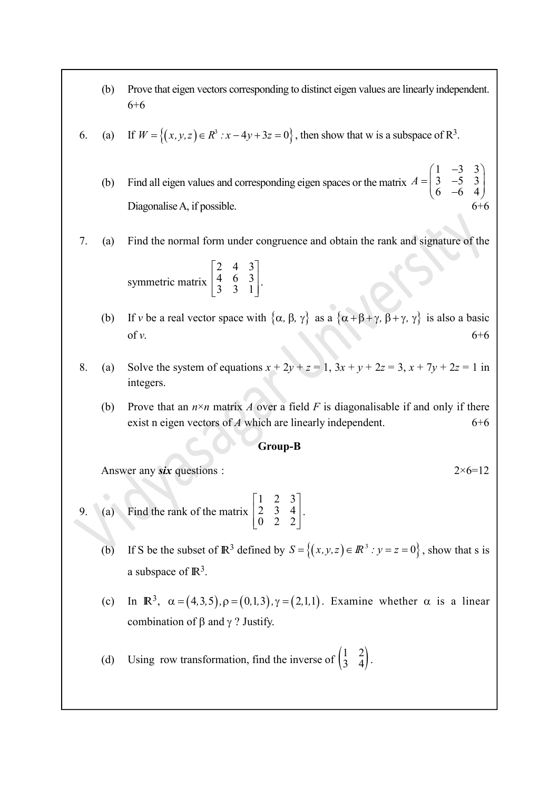- (b) Prove that eigen vectors corresponding to distinct eigen values are linearly independent. 6+6
- 6. (a) If  $W = \{(x, y, z) \in R^3 : x 4y + 3z = 0\}$ , then show that w is a subspace of  $R^3$ .
	- (b) Find all eigen values and corresponding eigen spaces or the matrix  $\Lambda$  $\begin{pmatrix} 1 & -3 & 3 \end{pmatrix}$  $=\begin{pmatrix} 3 & -5 & 3 \\ 6 & -6 & 4 \end{pmatrix}$  $1 -3 3)$  $\begin{bmatrix} 3 & -5 & 3 \end{bmatrix}$  $\begin{bmatrix} 6 & -6 & 4 \end{bmatrix}$ Diagonalise  $A$ , if possible.
- 7. (a) Find the normal form under congruence and obtain the rank and signature of the

symmetric matrix  $\begin{bmatrix} 2 & 4 & 3 \end{bmatrix}$  $\begin{vmatrix} 4 & 6 & 3 \end{vmatrix}$  $\begin{bmatrix} 3 & 3 & 1 \end{bmatrix}$ 2 4 3]  $\begin{bmatrix} 4 & 6 & 3 \\ 3 & 3 & 1 \end{bmatrix}$ .

- (b) If v be a real vector space with  $\{\alpha, \beta, \gamma\}$  as a  $\{\alpha + \beta + \gamma, \beta + \gamma, \gamma\}$  is also a basic of v.  $6+6$
- 8. (a) Solve the system of equations  $x + 2y + z = 1$ ,  $3x + y + 2z = 3$ ,  $x + 7y + 2z = 1$  in integers.
	- (b) Prove that an  $n \times n$  matrix A over a field F is diagonalisable if and only if there exist n eigen vectors of A which are linearly independent. 6+6

#### Group-B

Answer any six questions :  $2 \times 6 = 12$ 

- 9. (a) Find the rank of the matrix  $\begin{bmatrix} 1 & 2 & 3 \end{bmatrix}$  $\begin{bmatrix} 2 & 3 & 4 \end{bmatrix}$ .  $\begin{bmatrix} 2 & 2 & 2 \end{bmatrix}$  $1 \quad 2 \quad 3$  $\begin{bmatrix} 2 & 3 & 4 \end{bmatrix}$ .  $\begin{bmatrix} 2 & 3 & 4 \\ 0 & 2 & 2 \end{bmatrix}$ .
	- (b) If S be the subset of  $\mathbb{R}^3$  defined by  $S = \{(x, y, z) \in \mathbb{R}^3 : y = z = 0\}$ , show that s is a subspace of  $\mathbb{R}^3$ .
	- (c) In  $\mathbb{R}^3$ ,  $\alpha = (4,3,5)$ ,  $\rho = (0,1,3)$ ,  $\gamma = (2,1,1)$ . Examine whether  $\alpha$  is a linear combination of  $\beta$  and  $\gamma$  ? Justify.
	- (d) Using row transformation, find the inverse of  $\begin{pmatrix} 1 & 2 \\ 3 & 4 \end{pmatrix}$ .  $\begin{pmatrix} 1 & 2 \\ 3 & 4 \end{pmatrix}$ .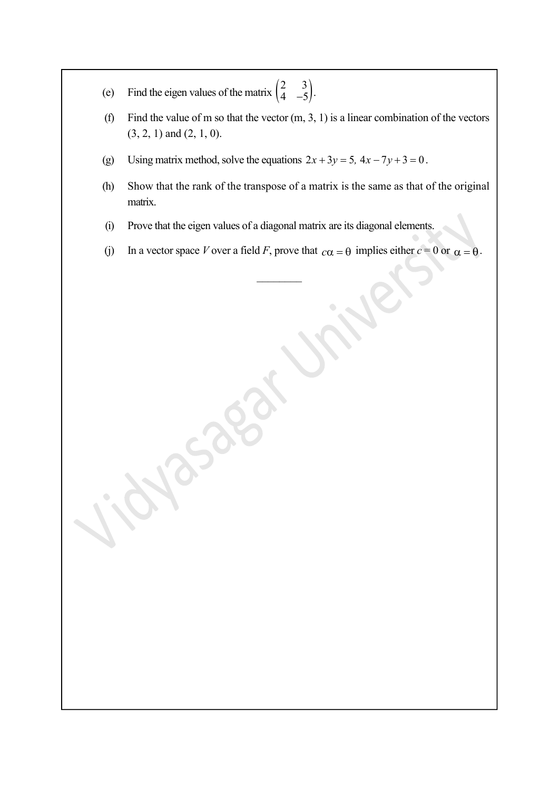- (e) Find the eigen values of the matrix  $\begin{pmatrix} 2 & 3 \\ 4 & -5 \end{pmatrix}$ .  $\begin{pmatrix} 2 & 3 \\ 4 & -5 \end{pmatrix}$ .
- (f) Find the value of m so that the vector  $(m, 3, 1)$  is a linear combination of the vectors (3, 2, 1) and (2, 1, 0).
- (g) Using matrix method, solve the equations  $2x + 3y = 5$ ,  $4x 7y + 3 = 0$ .
- (h) Show that the rank of the transpose of a matrix is the same as that of the original matrix.
- (i) Prove that the eigen values of a diagonal matrix are its diagonal elements.
- (j) In a vector space V over a field F, prove that  $c\alpha = \theta$  implies either  $c = 0$  or  $\alpha = \theta$ .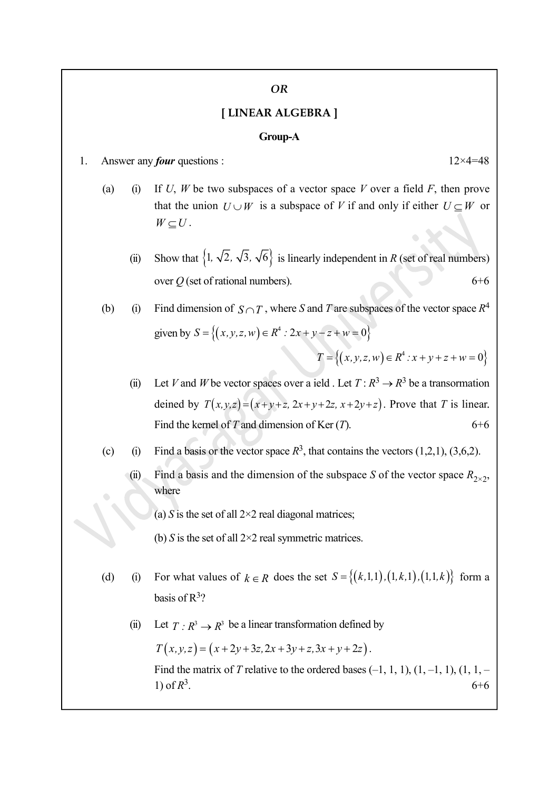#### OR

### [ LINEAR ALGEBRA ]

#### Group-A

- 1. Answer any *four* questions :  $12 \times 4 = 48$ 
	- (a) (i) If U, W be two subspaces of a vector space V over a field F, then prove that the union  $U \cup W$  is a subspace of V if and only if either  $U \subseteq W$  or  $W \subseteq U$ .
		- (ii) Show that  $\{1, \sqrt{2}, \sqrt{3}, \sqrt{6}\}$  is linearly independent in R (set of real numbers) over  $Q$  (set of rational numbers). 6+6
	- (b) (i) Find dimension of  $S \cap T$ , where S and T are subspaces of the vector space  $R^4$ given by  $S = \{(x,y,z,w) \in R^4 : 2x + y - z + w = 0\}$

 $T = \{(x,y,z,w) \in R^4 : x + y + z + w = 0\}$ 

- (ii) Let V and W be vector spaces over a ield. Let  $T: \mathbb{R}^3 \to \mathbb{R}^3$  be a transormation deined by  $T(x,y,z)=(x+y+z, 2x+y+2z, x+2y+z)$ . Prove that T is linear. Find the kernel of T and dimension of Ker  $(T)$ . 6+6
- (c) (i) Find a basis or the vector space  $R^3$ , that contains the vectors (1,2,1), (3,6,2).
	- (ii) Find a basis and the dimension of the subspace S of the vector space  $R_{2\times 2}$ , where
		- (a) S is the set of all  $2\times 2$  real diagonal matrices;
		- (b) S is the set of all  $2\times 2$  real symmetric matrices.
- (d) (i) For what values of  $k \in R$  does the set  $S = \{(k, 1, 1), (1, k, 1), (1, 1, k)\}$  form a basis of  $R^3$ ?
	- (ii) Let  $T : \mathbb{R}^3 \to \mathbb{R}^3$  be a linear transformation defined by

 $T(x,y,z) = (x + 2y + 3z, 2x + 3y + z, 3x + y + 2z).$ 

Find the matrix of T relative to the ordered bases  $(-1, 1, 1), (1, -1, 1), (1, 1, -1)$ 1) of  $R^3$ .  $6+6$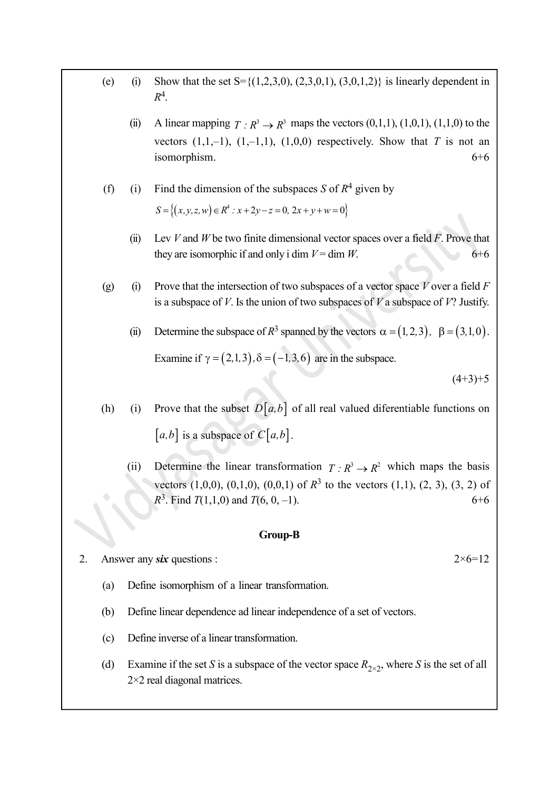(e) (i) Show that the set  $S = \{(1,2,3,0), (2,3,0,1), (3,0,1,2)\}$  is linearly dependent in  $R^4$ .

(ii) A linear mapping  $T : \mathbb{R}^3 \to \mathbb{R}^3$  maps the vectors  $(0,1,1), (1,0,1), (1,1,0)$  to the vectors  $(1,1,-1)$ ,  $(1,-1,1)$ ,  $(1,0,0)$  respectively. Show that T is not an isomorphism.  $6+6$ 

(f) (i) Find the dimension of the subspaces *S* of 
$$
R^4
$$
 given by  
\n
$$
S = \{(x, y, z, w) \in R^4 : x + 2y - z = 0, 2x + y + w = 0\}
$$

- (ii) Lev V and W be two finite dimensional vector spaces over a field  $\overline{F}$ . Prove that they are isomorphic if and only i dim  $V = \dim W$ . 6+6
- (g) (i) Prove that the intersection of two subspaces of a vector space V over a field  $F$ is a subspace of V. Is the union of two subspaces of V a subspace of V? Justify.
	- (ii) Determine the subspace of  $R^3$  spanned by the vectors  $\alpha = (1, 2, 3)$ ,  $\beta = (3, 1, 0)$ . Examine if  $\gamma = (2,1,3), \delta = (-1,3,6)$  are in the subspace.

 $(4+3)+5$ 

- (h) (i) Prove that the subset  $D[a,b]$  of all real valued diferentiable functions on  $[a,b]$  is a subspace of  $C[a,b]$ .
	- (ii) Determine the linear transformation  $T : \mathbb{R}^3 \to \mathbb{R}^2$  which maps the basis vectors  $(1,0,0)$ ,  $(0,1,0)$ ,  $(0,0,1)$  of  $\mathbb{R}^3$  to the vectors  $(1,1)$ ,  $(2, 3)$ ,  $(3, 2)$  of  $R^3$ . Find  $T(1,1,0)$  and  $T(6, 0, -1)$ . 6+6

#### Group-B

2. Answer any six questions :  $2 \times 6 = 12$ 

- (a) Define isomorphism of a linear transformation.
- (b) Define linear dependence ad linear independence of a set of vectors.
- (c) Define inverse of a linear transformation.
- (d) Examine if the set S is a subspace of the vector space  $R_{2\times 2}$ , where S is the set of all 2×2 real diagonal matrices.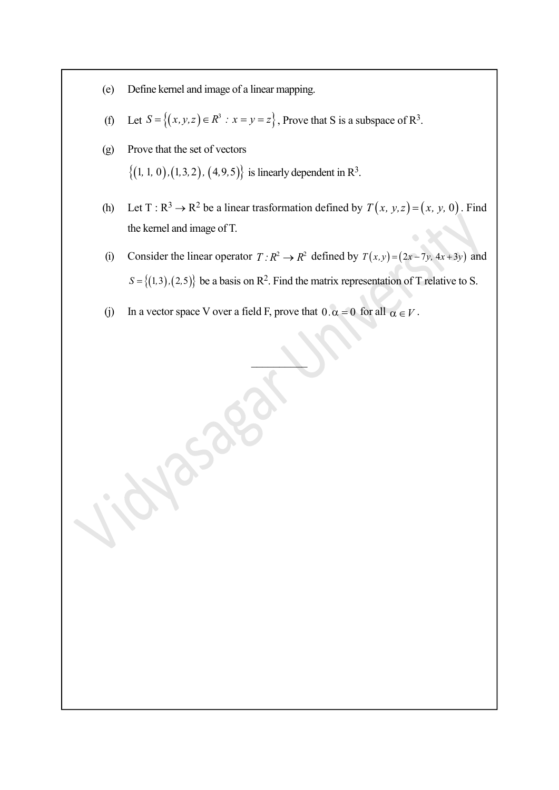- (e) Define kernel and image of a linear mapping.
- (f) Let  $S = \{(x, y, z) \in \mathbb{R}^3 : x = y = z\}$ , Prove that S is a subspace of  $\mathbb{R}^3$ .
- (g) Prove that the set of vectors  $\{(1, 1, 0), (1, 3, 2), (4, 9, 5)\}\$ is linearly dependent in R<sup>3</sup>.

 $\mathcal{S}^{\circ}$ 

- (h) Let T:  $\mathbb{R}^3 \to \mathbb{R}^2$  be a linear trasformation defined by  $T(x, y, z) = (x, y, 0)$ . Find the kernel and image of T.
- (i) Consider the linear operator  $T : \mathbb{R}^2 \to \mathbb{R}^2$  defined by  $T(x,y) = (2x 7y, 4x + 3y)$  and  $S = \{(1,3), (2,5)\}\)$  be a basis on R<sup>2</sup>. Find the matrix representation of T relative to S.
- (j) In a vector space V over a field F, prove that  $0 \cdot \alpha = 0$  for all  $\alpha \in V$ .

 $\mathcal{L}$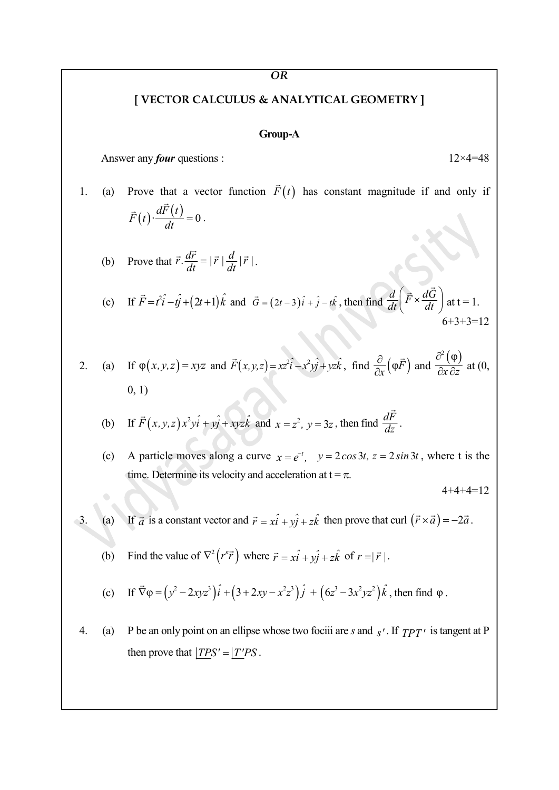#### OR

# [ VECTOR CALCULUS & ANALYTICAL GEOMETRY ]

#### Group-A

Answer any *four* questions :  $12 \times 4 = 48$ 

1. (a) Prove that a vector function  $\vec{F}(t)$  has constant magn has constant magnitude if and only if OR<br>
VECTOR CALCULUS & ANALYTICAL GEOMETRY ]<br>
Group-A<br>
any *four* questions :<br>
1<br>
ove that a vector function  $\vec{F}(t)$  has constant magnitude if and<br>  $(t) \cdot \frac{d\vec{F}(t)}{dt} = 0$ .<br>
ove that  $\vec{r} \cdot \frac{d\vec{r}}{dt} = |\vec{r}| \frac{d}{dt} |\vec{r$  $\vec{F}(t) \cdot \frac{dF(t)}{dt} = 0$  $\vec{r}$  $\vec{F}(t) \cdot \frac{dF(t)}{dt} = 0$ .

- (b) Prove that  $\vec{r} \cdot \frac{d\vec{r}}{dt} = |\vec{r}| \frac{d}{dt} |\vec{r}|$ .
- (c) If  $\vec{F} = t^2 \hat{i} t \hat{j} + (2t+1)\hat{k}$  and  $\vec{G} = (2t-3)\hat{i} + \hat{j} t\hat{k}$ , then find  $\frac{d}{dt}(\vec{F} \times \frac{d\vec{G}}{dt})$  $\left(\vec{F},\vec{d\vec{G}}\right)$  $\left(\overline{F} \times \frac{dG}{dt}\right)$  at  $\Rightarrow d\vec{G}$ at  $t = 1$ . 6+3+3=12

2. (a) If 
$$
\varphi(x, y, z) = xyz
$$
 and  $\vec{F}(x, y, z) = xz^2\hat{i} - x^2y\hat{j} + yz\hat{k}$ , find  $\frac{\partial}{\partial x}(\varphi\vec{F})$  and  $\frac{\partial^2(\varphi)}{\partial x \partial z}$  at (0, 0, 1)

(b) If 
$$
\vec{F}(x, y, z) x^2 y \hat{i} + y \hat{j} + xyz \hat{k}
$$
 and  $x = z^2$ ,  $y = 3z$ , then find  $\frac{d\vec{F}}{dz}$ .

(c) A particle moves along a curve  $x = e^{-t}$ ,  $y = 2\cos 3t$ ,  $z = 2\sin 3t$ , where t is the time. Determine its velocity and acceleration at  $t = \pi$ .

 $4+4+4=12$ 

- 3. (a) If  $\vec{a}$  is a constant vector and  $\vec{r} = x\hat{i} + y\hat{j} + z\hat{k}$  then prove that curl  $(\vec{r} \times \vec{a}) = -2\vec{a}$ .
	- (b) Find the value of  $\nabla^2 (r^n \vec{r})$  where  $\vec{r} = x\hat{i} + y\hat{j} + z\hat{k}$  of  $r = |\vec{r}|$ .
	- (c) If  $\vec{\nabla}\varphi = (y^2 2xyz^3)\hat{i} + (3 + 2xy x^2z^3)\hat{j} + (6z^3 3x^2yz^2)\hat{k}$ , t  $+ (6z^3 - 3x^2yz^2)\hat{k}$ , then find  $\varphi$ .

4. (a) P be an only point on an ellipse whose two fociii are s and  $s'$ . If  $TPT'$  is tangent at P then prove that  $|TPS' = |T'PS|$ .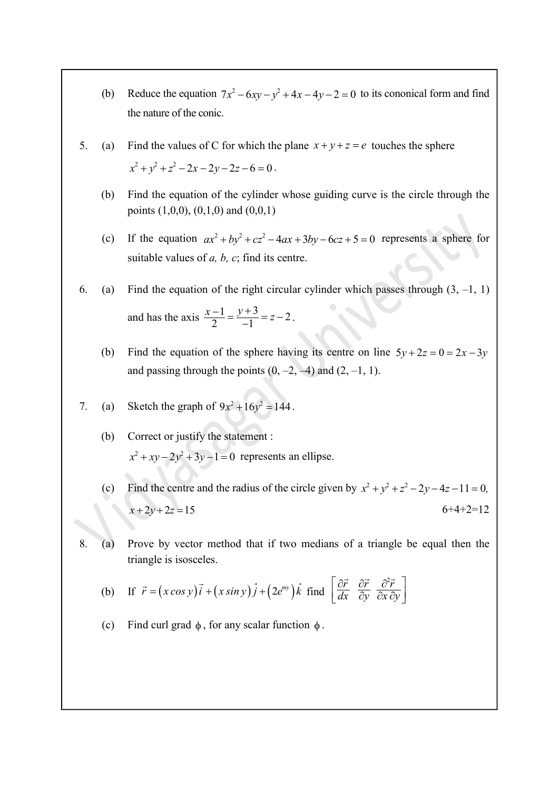- (b) Reduce the equation  $7x^2 6xy y^2 + 4x 4y 2 = 0$  to its cononical form and find the nature of the conic.
- 5. (a) Find the values of C for which the plane  $x + y + z = e$  touches the sphere  $x^{2} + y^{2} + z^{2} - 2x - 2y - 2z - 6 = 0$ .
	- (b) Find the equation of the cylinder whose guiding curve is the circle through the points  $(1,0,0)$ ,  $(0,1,0)$  and  $(0,0,1)$
	- (c) If the equation  $ax^2 + by^2 + cz^2 4ax + 3by 6cz + 5 = 0$  represents a sphere for suitable values of  $a$ ,  $b$ ,  $c$ ; find its centre.

6. (a) Find the equation of the right circular cylinder which passes through  $(3, -1, 1)$ and has the axis  $\frac{x-1}{2} = \frac{y+3}{-1} = z-2$  $\frac{-1}{2} = \frac{y+3}{-1} = z-2$ .

(b) Find the equation of the sphere having its centre on line  $5y + 2z = 0 = 2x - 3y$ and passing through the points  $(0, -2, -4)$  and  $(2, -1, 1)$ .

7. (a) Sketch the graph of 
$$
9x^2 + 16y^2 = 144
$$
.

(b) Correct or justify the statement :  $x^2 + xy - 2y^2 + 3y - 1 = 0$  represents an ellipse.

(c) Find the centre and the radius of the circle given by  $x^2 + y^2 + z^2 - 2y - 4z - 11 = 0$ ,  $x + 2y + 2z = 15$  6+4+2=12

8. (a) Prove by vector method that if two medians of a triangle be equal then the triangle is isosceles.

(b) If 
$$
\vec{r} = (x \cos y)\vec{i} + (x \sin y)\vec{j} + (2e^{my})\hat{k}
$$
 find  $\begin{bmatrix} \frac{\partial \vec{r}}{\partial x} & \frac{\partial \vec{r}}{\partial y} & \frac{\partial^2 \vec{r}}{\partial x \partial y} \end{bmatrix}$ 

(c) Find curl grad  $\phi$ , for any scalar function  $\phi$ .